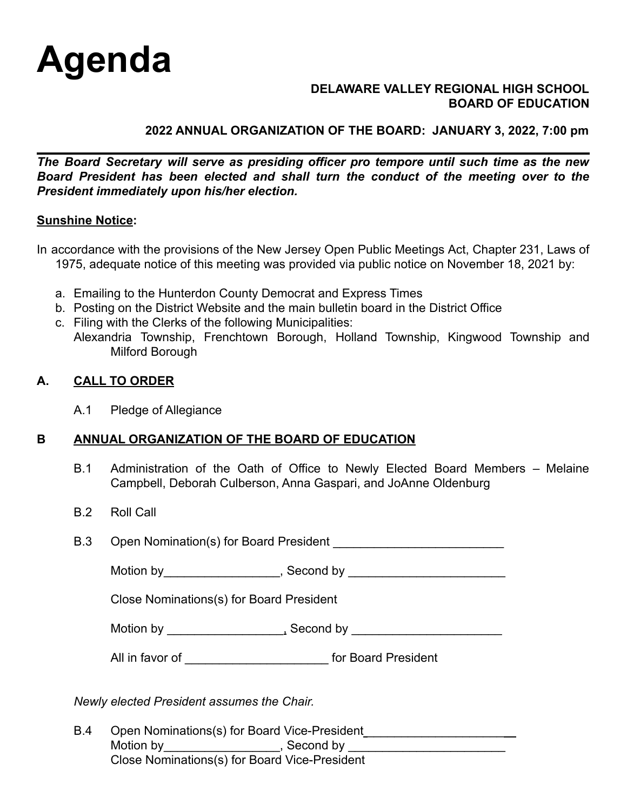

#### **DELAWARE VALLEY REGIONAL HIGH SCHOOL BOARD OF EDUCATION**

## **2022 ANNUAL ORGANIZATION OF THE BOARD: JANUARY 3, 2022, 7:00 pm**

*The Board Secretary will serve as presiding officer pro tempore until such time as the new Board President has been elected and shall turn the conduct of the meeting over to the President immediately upon his/her election.*

#### **Sunshine Notice:**

In accordance with the provisions of the New Jersey Open Public Meetings Act, Chapter 231, Laws of 1975, adequate notice of this meeting was provided via public notice on November 18, 2021 by:

- a. Emailing to the Hunterdon County Democrat and Express Times
- b. Posting on the District Website and the main bulletin board in the District Office
- c. Filing with the Clerks of the following Municipalities:
- Alexandria Township, Frenchtown Borough, Holland Township, Kingwood Township and Milford Borough

#### **A. CALL TO ORDER**

A.1 Pledge of Allegiance

## **B ANNUAL ORGANIZATION OF THE BOARD OF EDUCATION**

- B.1 Administration of the Oath of Office to Newly Elected Board Members Melaine Campbell, Deborah Culberson, Anna Gaspari, and JoAnne Oldenburg
- B.2 Roll Call

| <b>B.3</b><br>Open Nomination(s) for Board President |  |
|------------------------------------------------------|--|
|------------------------------------------------------|--|

Motion by\_\_\_\_\_\_\_\_\_\_\_\_\_\_\_\_\_, Second by \_\_\_\_\_\_\_\_\_\_\_\_\_\_\_\_\_\_\_\_\_\_\_

Close Nominations(s) for Board President

Motion by \_\_\_\_\_\_\_\_\_\_\_\_\_\_\_\_\_, Second by \_\_\_\_\_\_\_\_\_\_\_\_\_\_\_\_\_\_\_\_\_\_

| All in favor of | for Board President |
|-----------------|---------------------|
|                 |                     |

*Newly elected President assumes the Chair.*

B.4 Open Nominations(s) for Board Vice-President Motion by\_\_\_\_\_\_\_\_\_\_\_\_\_\_\_\_\_, Second by \_\_\_\_\_\_\_\_\_\_\_\_\_\_\_\_\_\_\_\_\_\_\_ Close Nominations(s) for Board Vice-President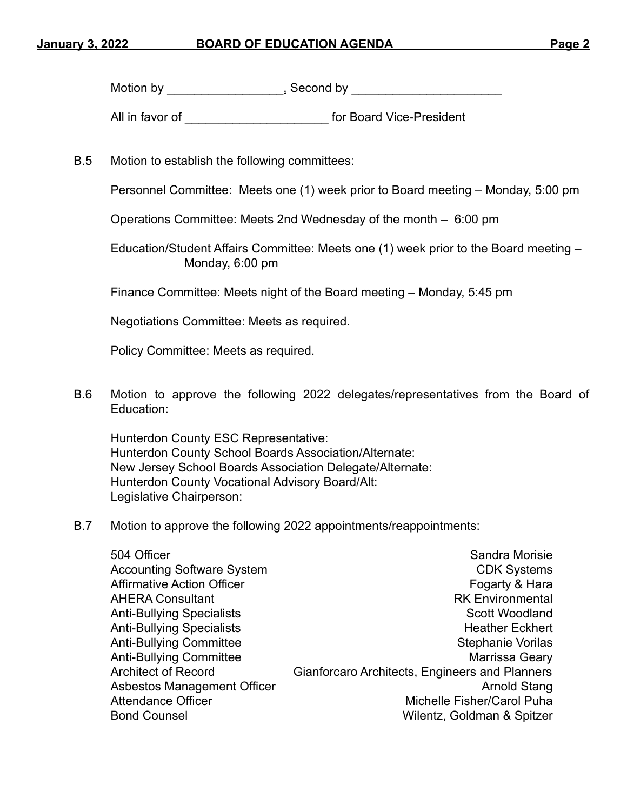Motion by \_\_\_\_\_\_\_\_\_\_\_\_\_\_\_\_\_, Second by \_\_\_\_\_\_\_\_\_\_\_\_\_\_\_\_\_\_\_\_\_\_

All in favor of **All in favor of All in favor of All in favor of All in favor of All in favor of All in favor of All in favor of All in favor of All in favor of All in favor of All in favor of** *All* **in** 

B.5 Motion to establish the following committees:

Personnel Committee: Meets one (1) week prior to Board meeting – Monday, 5:00 pm

Operations Committee: Meets 2nd Wednesday of the month – 6:00 pm

Education/Student Affairs Committee: Meets one (1) week prior to the Board meeting – Monday, 6:00 pm

Finance Committee: Meets night of the Board meeting – Monday, 5:45 pm

Negotiations Committee: Meets as required.

Policy Committee: Meets as required.

B.6 Motion to approve the following 2022 delegates/representatives from the Board of Education:

Hunterdon County ESC Representative: Hunterdon County School Boards Association/Alternate: New Jersey School Boards Association Delegate/Alternate: Hunterdon County Vocational Advisory Board/Alt: Legislative Chairperson:

B.7 Motion to approve the following 2022 appointments/reappointments:

| 504 Officer                       | Sandra Morisie                                 |
|-----------------------------------|------------------------------------------------|
| <b>Accounting Software System</b> | <b>CDK Systems</b>                             |
| <b>Affirmative Action Officer</b> | Fogarty & Hara                                 |
| <b>AHERA Consultant</b>           | <b>RK Environmental</b>                        |
| <b>Anti-Bullying Specialists</b>  | Scott Woodland                                 |
| <b>Anti-Bullying Specialists</b>  | <b>Heather Eckhert</b>                         |
| <b>Anti-Bullying Committee</b>    | <b>Stephanie Vorilas</b>                       |
| <b>Anti-Bullying Committee</b>    | Marrissa Geary                                 |
| <b>Architect of Record</b>        | Gianforcaro Architects, Engineers and Planners |
| Asbestos Management Officer       | <b>Arnold Stang</b>                            |
| <b>Attendance Officer</b>         | Michelle Fisher/Carol Puha                     |
| <b>Bond Counsel</b>               | Wilentz, Goldman & Spitzer                     |
|                                   |                                                |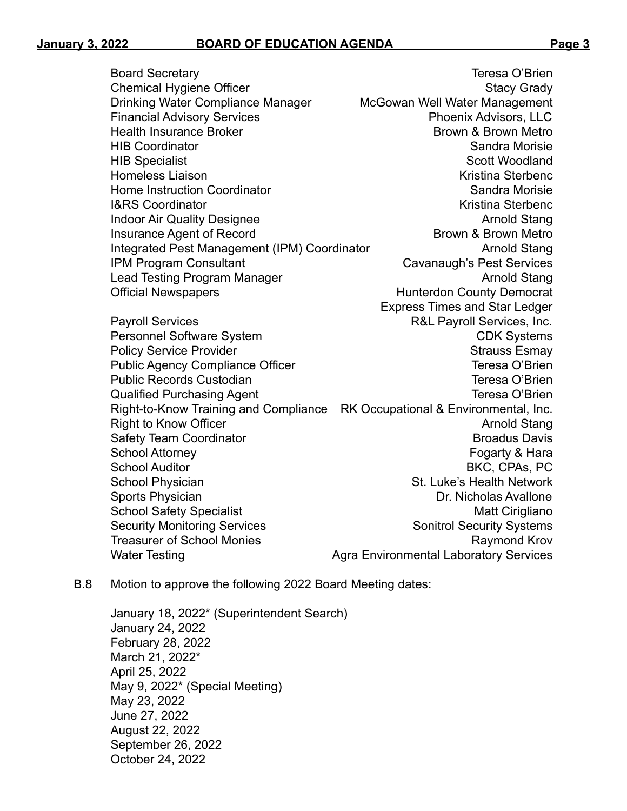Board Secretary Teresa O'Brien Chemical Hygiene Officer Stacy Grady Stacy Grady Drinking Water Compliance Manager McGowan Well Water Management Financial Advisory Services **Phoenix Advisors, LLC** Health Insurance Broker Brown & Brown Metro HIB Coordinator Sandra Morisie HIB Specialist Scott Woodland Homeless Liaison **Kristina Sterbenc** Kristina Sterbenc Home Instruction Coordinator Sandra Morisie Sandra Morisie **I&RS Coordinator** Kristina Sterbenc Indoor Air Quality Designee Arnold Stang Insurance Agent of Record **Brown & Brown Metro** Brown Metro Integrated Pest Management (IPM) Coordinator **Arnold Stang** IPM Program Consultant Cavanaugh's Pest Services Lead Testing Program Manager Arnold Stang Official Newspapers **Material Accord County Democrat** Express Times and Star Ledger Payroll Services **Payroll Services R&L Payroll Services**, Inc. Personnel Software System CDK Systems Policy Service Provider **Strauss Esmay Policy Strauss Esmay** Public Agency Compliance Officer Teresa O'Brien Public Records Custodian **Teresa O'Brien** Qualified Purchasing Agent Teresa O'Brien Right-to-Know Training and Compliance RK Occupational & Environmental, Inc. Right to Know Officer Arnold Stang Arnold Stang Safety Team Coordinator **Broadus Davis** Broadus Davis School Attorney **Fogarty & Hara** School Auditor **BKC, CPAs, PC** School Physician School Physician St. Luke's Health Network Sports Physician **Dr. Nicholas Avallone** School Safety Specialist Matt Cirigliano Security Monitoring Services Security Systems Treasurer of School Monies **Raymond Krov** Raymond Krov Water Testing Mater Testing Agra Environmental Laboratory Services

B.8 Motion to approve the following 2022 Board Meeting dates:

January 18, 2022\* (Superintendent Search) January 24, 2022 February 28, 2022 March 21, 2022\* April 25, 2022 May 9, 2022\* (Special Meeting) May 23, 2022 June 27, 2022 August 22, 2022 September 26, 2022 October 24, 2022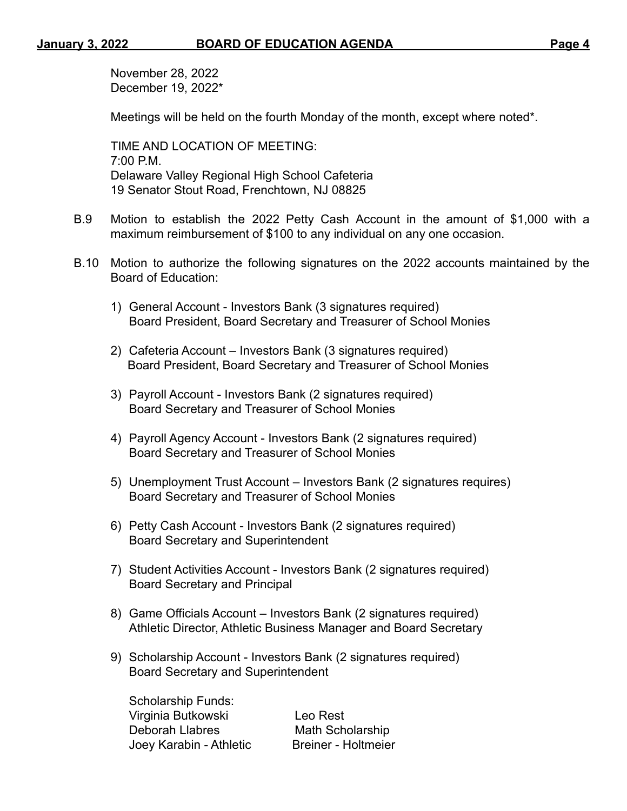November 28, 2022 December 19, 2022\*

Meetings will be held on the fourth Monday of the month, except where noted\*.

TIME AND LOCATION OF MEETING:  $7:00 \text{ P.M.}$ Delaware Valley Regional High School Cafeteria 19 Senator Stout Road, Frenchtown, NJ 08825

- B.9 Motion to establish the 2022 Petty Cash Account in the amount of \$1,000 with a maximum reimbursement of \$100 to any individual on any one occasion.
- B.10 Motion to authorize the following signatures on the 2022 accounts maintained by the Board of Education:
	- 1) General Account Investors Bank (3 signatures required) Board President, Board Secretary and Treasurer of School Monies
	- 2) Cafeteria Account Investors Bank (3 signatures required) Board President, Board Secretary and Treasurer of School Monies
	- 3) Payroll Account Investors Bank (2 signatures required) Board Secretary and Treasurer of School Monies
	- 4) Payroll Agency Account Investors Bank (2 signatures required) Board Secretary and Treasurer of School Monies
	- 5) Unemployment Trust Account Investors Bank (2 signatures requires) Board Secretary and Treasurer of School Monies
	- 6) Petty Cash Account Investors Bank (2 signatures required) Board Secretary and Superintendent
	- 7) Student Activities Account Investors Bank (2 signatures required) Board Secretary and Principal
	- 8) Game Officials Account Investors Bank (2 signatures required) Athletic Director, Athletic Business Manager and Board Secretary
	- 9) Scholarship Account Investors Bank (2 signatures required) Board Secretary and Superintendent

Scholarship Funds: Virginia Butkowski Leo Rest Deborah Llabres Math Scholarship Joey Karabin - Athletic Breiner - Holtmeier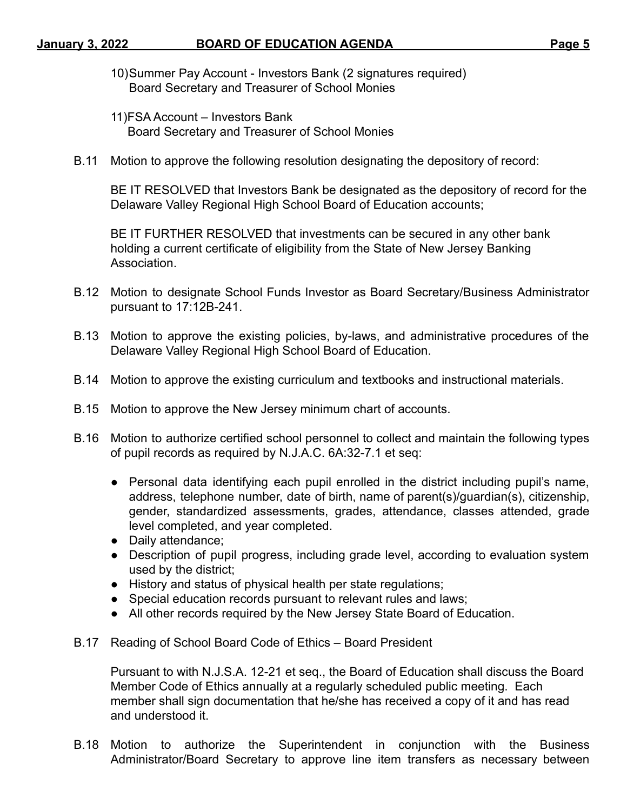- 10)Summer Pay Account Investors Bank (2 signatures required) Board Secretary and Treasurer of School Monies
- 11)FSA Account Investors Bank Board Secretary and Treasurer of School Monies
- B.11 Motion to approve the following resolution designating the depository of record:

BE IT RESOLVED that Investors Bank be designated as the depository of record for the Delaware Valley Regional High School Board of Education accounts;

BE IT FURTHER RESOLVED that investments can be secured in any other bank holding a current certificate of eligibility from the State of New Jersey Banking Association.

- B.12 Motion to designate School Funds Investor as Board Secretary/Business Administrator pursuant to 17:12B-241.
- B.13 Motion to approve the existing policies, by-laws, and administrative procedures of the Delaware Valley Regional High School Board of Education.
- B.14 Motion to approve the existing curriculum and textbooks and instructional materials.
- B.15 Motion to approve the New Jersey minimum chart of accounts.
- B.16 Motion to authorize certified school personnel to collect and maintain the following types of pupil records as required by N.J.A.C. 6A:32-7.1 et seq:
	- Personal data identifying each pupil enrolled in the district including pupil's name, address, telephone number, date of birth, name of parent(s)/guardian(s), citizenship, gender, standardized assessments, grades, attendance, classes attended, grade level completed, and year completed.
	- Daily attendance;
	- Description of pupil progress, including grade level, according to evaluation system used by the district;
	- History and status of physical health per state regulations;
	- Special education records pursuant to relevant rules and laws;
	- All other records required by the New Jersey State Board of Education.
- B.17 Reading of School Board Code of Ethics Board President

Pursuant to with N.J.S.A. 12-21 et seq., the Board of Education shall discuss the Board Member Code of Ethics annually at a regularly scheduled public meeting. Each member shall sign documentation that he/she has received a copy of it and has read and understood it.

B.18 Motion to authorize the Superintendent in conjunction with the Business Administrator/Board Secretary to approve line item transfers as necessary between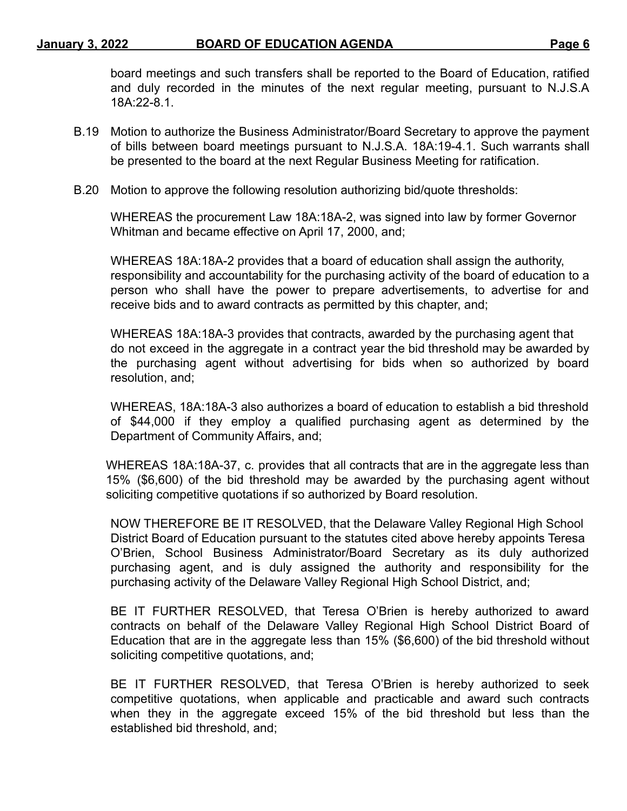board meetings and such transfers shall be reported to the Board of Education, ratified and duly recorded in the minutes of the next regular meeting, pursuant to N.J.S.A 18A:22-8.1.

- B.19 Motion to authorize the Business Administrator/Board Secretary to approve the payment of bills between board meetings pursuant to N.J.S.A. 18A:19-4.1. Such warrants shall be presented to the board at the next Regular Business Meeting for ratification.
- B.20 Motion to approve the following resolution authorizing bid/quote thresholds:

WHEREAS the procurement Law 18A:18A-2, was signed into law by former Governor Whitman and became effective on April 17, 2000, and;

WHEREAS 18A:18A-2 provides that a board of education shall assign the authority, responsibility and accountability for the purchasing activity of the board of education to a person who shall have the power to prepare advertisements, to advertise for and receive bids and to award contracts as permitted by this chapter, and;

WHEREAS 18A:18A-3 provides that contracts, awarded by the purchasing agent that do not exceed in the aggregate in a contract year the bid threshold may be awarded by the purchasing agent without advertising for bids when so authorized by board resolution, and;

WHEREAS, 18A:18A-3 also authorizes a board of education to establish a bid threshold of \$44,000 if they employ a qualified purchasing agent as determined by the Department of Community Affairs, and;

WHEREAS 18A:18A-37, c. provides that all contracts that are in the aggregate less than 15% (\$6,600) of the bid threshold may be awarded by the purchasing agent without soliciting competitive quotations if so authorized by Board resolution.

NOW THEREFORE BE IT RESOLVED, that the Delaware Valley Regional High School District Board of Education pursuant to the statutes cited above hereby appoints Teresa O'Brien, School Business Administrator/Board Secretary as its duly authorized purchasing agent, and is duly assigned the authority and responsibility for the purchasing activity of the Delaware Valley Regional High School District, and;

BE IT FURTHER RESOLVED, that Teresa O'Brien is hereby authorized to award contracts on behalf of the Delaware Valley Regional High School District Board of Education that are in the aggregate less than 15% (\$6,600) of the bid threshold without soliciting competitive quotations, and;

BE IT FURTHER RESOLVED, that Teresa O'Brien is hereby authorized to seek competitive quotations, when applicable and practicable and award such contracts when they in the aggregate exceed 15% of the bid threshold but less than the established bid threshold, and;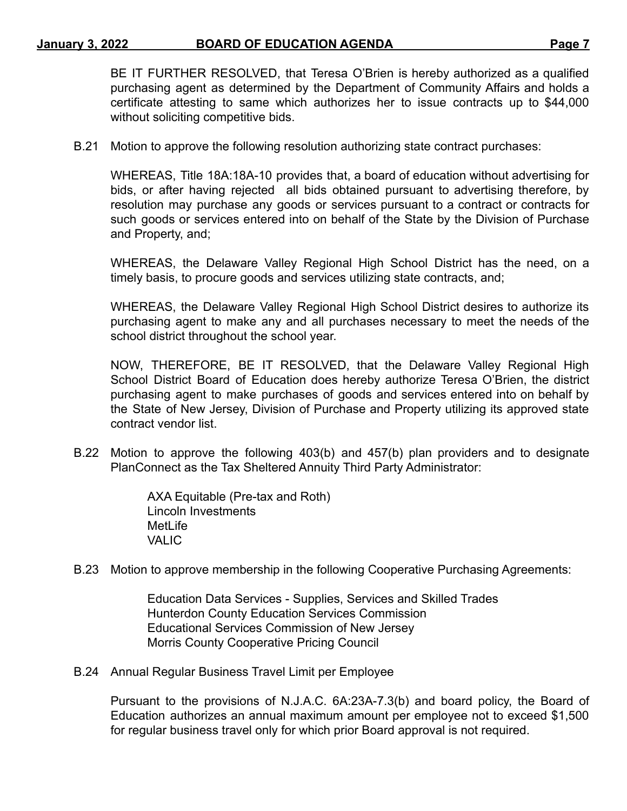BE IT FURTHER RESOLVED, that Teresa O'Brien is hereby authorized as a qualified purchasing agent as determined by the Department of Community Affairs and holds a certificate attesting to same which authorizes her to issue contracts up to \$44,000 without soliciting competitive bids.

B.21 Motion to approve the following resolution authorizing state contract purchases:

WHEREAS, Title 18A:18A-10 provides that, a board of education without advertising for bids, or after having rejected all bids obtained pursuant to advertising therefore, by resolution may purchase any goods or services pursuant to a contract or contracts for such goods or services entered into on behalf of the State by the Division of Purchase and Property, and;

WHEREAS, the Delaware Valley Regional High School District has the need, on a timely basis, to procure goods and services utilizing state contracts, and;

WHEREAS, the Delaware Valley Regional High School District desires to authorize its purchasing agent to make any and all purchases necessary to meet the needs of the school district throughout the school year.

NOW, THEREFORE, BE IT RESOLVED, that the Delaware Valley Regional High School District Board of Education does hereby authorize Teresa O'Brien, the district purchasing agent to make purchases of goods and services entered into on behalf by the State of New Jersey, Division of Purchase and Property utilizing its approved state contract vendor list.

B.22 Motion to approve the following 403(b) and 457(b) plan providers and to designate PlanConnect as the Tax Sheltered Annuity Third Party Administrator:

> AXA Equitable (Pre-tax and Roth) Lincoln Investments MetLife **VALIC**

B.23 Motion to approve membership in the following Cooperative Purchasing Agreements:

Education Data Services - Supplies, Services and Skilled Trades Hunterdon County Education Services Commission Educational Services Commission of New Jersey Morris County Cooperative Pricing Council

B.24 Annual Regular Business Travel Limit per Employee

Pursuant to the provisions of N.J.A.C. 6A:23A-7.3(b) and board policy, the Board of Education authorizes an annual maximum amount per employee not to exceed \$1,500 for regular business travel only for which prior Board approval is not required.